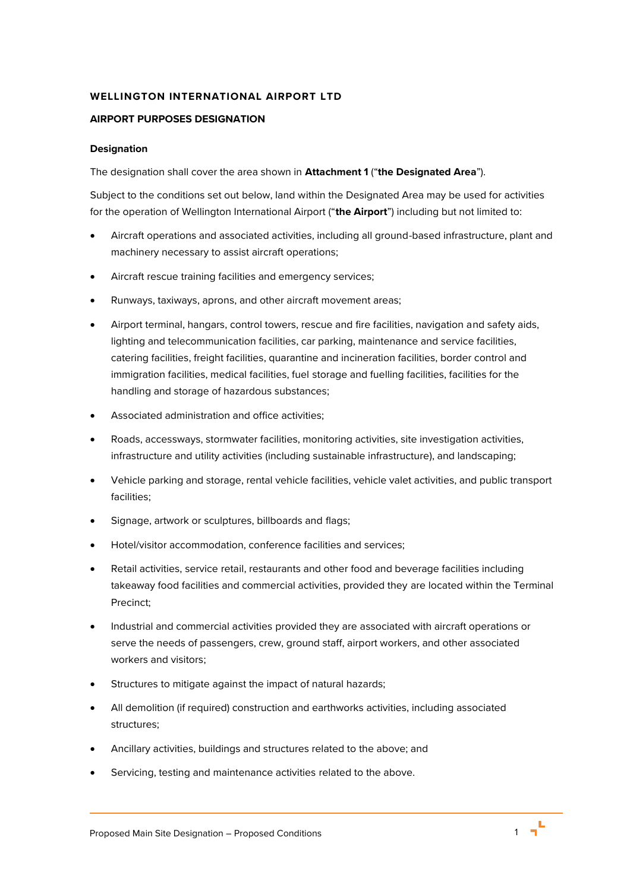# **WELLINGTON INTERNATIONAL AIRPORT LTD**

#### **AIRPORT PURPOSES DESIGNATION**

#### **Designation**

The designation shall cover the area shown in **Attachment 1** ("**the Designated Area**").

Subject to the conditions set out below, land within the Designated Area may be used for activities for the operation of Wellington International Airport ("**the Airport**") including but not limited to:

- Aircraft operations and associated activities, including all ground-based infrastructure, plant and machinery necessary to assist aircraft operations;
- Aircraft rescue training facilities and emergency services;
- Runways, taxiways, aprons, and other aircraft movement areas;
- Airport terminal, hangars, control towers, rescue and fire facilities, navigation and safety aids, lighting and telecommunication facilities, car parking, maintenance and service facilities, catering facilities, freight facilities, quarantine and incineration facilities, border control and immigration facilities, medical facilities, fuel storage and fuelling facilities, facilities for the handling and storage of hazardous substances;
- Associated administration and office activities;
- Roads, accessways, stormwater facilities, monitoring activities, site investigation activities, infrastructure and utility activities (including sustainable infrastructure), and landscaping;
- Vehicle parking and storage, rental vehicle facilities, vehicle valet activities, and public transport facilities;
- Signage, artwork or sculptures, billboards and flags;
- Hotel/visitor accommodation, conference facilities and services;
- Retail activities, service retail, restaurants and other food and beverage facilities including takeaway food facilities and commercial activities, provided they are located within the Terminal Precinct;
- Industrial and commercial activities provided they are associated with aircraft operations or serve the needs of passengers, crew, ground staff, airport workers, and other associated workers and visitors;
- Structures to mitigate against the impact of natural hazards;
- All demolition (if required) construction and earthworks activities, including associated structures;
- Ancillary activities, buildings and structures related to the above; and
- Servicing, testing and maintenance activities related to the above.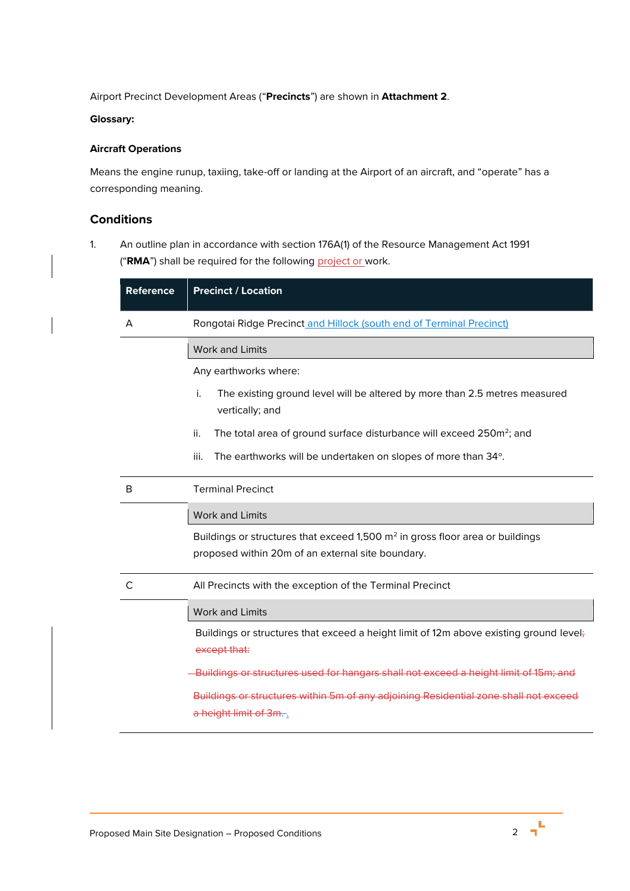Airport Precinct Development Areas ("**Precincts**") are shown in **Attachment 2**.

### **Glossary:**

# **Aircraft Operations**

Means the engine runup, taxiing, take-off or landing at the Airport of an aircraft, and "operate" has a corresponding meaning.

# **Conditions**

<span id="page-1-0"></span>1. An outline plan in accordance with section 176A(1) of the Resource Management Act 1991 ("RMA") shall be required for the following project or work.

| Reference | <b>Precinct / Location</b>                                                                                   |  |  |
|-----------|--------------------------------------------------------------------------------------------------------------|--|--|
| A         | Rongotai Ridge Precinct and Hillock (south end of Terminal Precinct)                                         |  |  |
|           | <b>Work and Limits</b>                                                                                       |  |  |
|           | Any earthworks where:                                                                                        |  |  |
|           | i.<br>The existing ground level will be altered by more than 2.5 metres measured<br>vertically; and          |  |  |
|           | ii.<br>The total area of ground surface disturbance will exceed 250m <sup>2</sup> ; and                      |  |  |
|           | iii.<br>The earthworks will be undertaken on slopes of more than 34°.                                        |  |  |
| B         | <b>Terminal Precinct</b>                                                                                     |  |  |
|           | <b>Work and Limits</b>                                                                                       |  |  |
|           | Buildings or structures that exceed 1,500 m <sup>2</sup> in gross floor area or buildings                    |  |  |
|           | proposed within 20m of an external site boundary.                                                            |  |  |
| C         | All Precincts with the exception of the Terminal Precinct                                                    |  |  |
|           | <b>Work and Limits</b>                                                                                       |  |  |
|           | Buildings or structures that exceed a height limit of 12m above existing ground level;<br>except that:       |  |  |
|           | -Buildings or structures used for hangars shall not exceed a height limit of 15m; and                        |  |  |
|           | Buildings or structures within 5m of any adjoining Residential zone shall not exceed<br>a height limit of 3m |  |  |

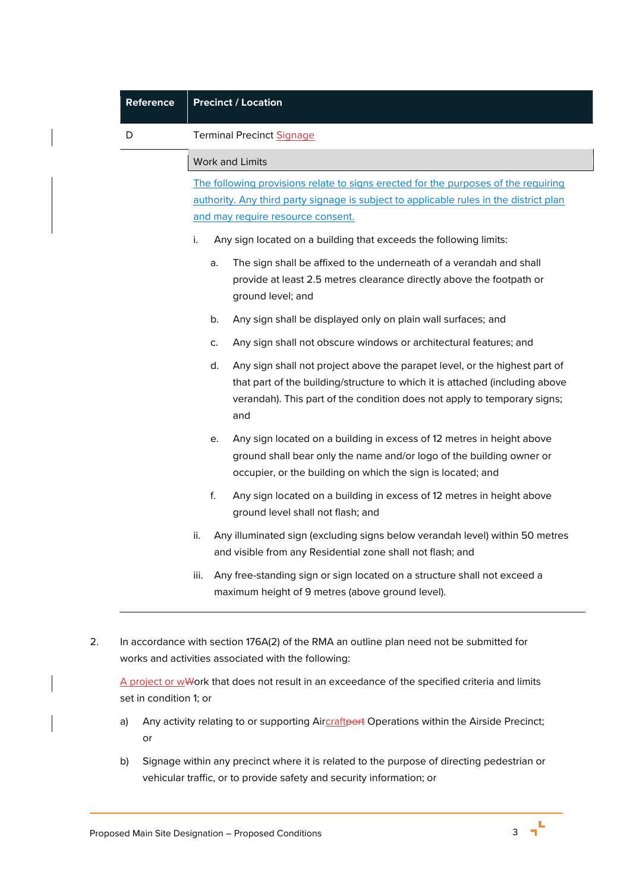| D | <b>Terminal Precinct Signage</b>                                                                                                                                                                                                                    |
|---|-----------------------------------------------------------------------------------------------------------------------------------------------------------------------------------------------------------------------------------------------------|
|   | Work and Limits                                                                                                                                                                                                                                     |
|   | The following provisions relate to signs erected for the purposes of the requiring<br>authority. Any third party signage is subject to applicable rules in the district plan<br>and may require resource consent.                                   |
|   | i.<br>Any sign located on a building that exceeds the following limits:                                                                                                                                                                             |
|   | The sign shall be affixed to the underneath of a verandah and shall<br>a.<br>provide at least 2.5 metres clearance directly above the footpath or<br>ground level; and                                                                              |
|   | Any sign shall be displayed only on plain wall surfaces; and<br>b.                                                                                                                                                                                  |
|   | Any sign shall not obscure windows or architectural features; and<br>C.                                                                                                                                                                             |
|   | d.<br>Any sign shall not project above the parapet level, or the highest part of<br>that part of the building/structure to which it is attached (including above<br>verandah). This part of the condition does not apply to temporary signs;<br>and |
|   | Any sign located on a building in excess of 12 metres in height above<br>е.<br>ground shall bear only the name and/or logo of the building owner or<br>occupier, or the building on which the sign is located; and                                  |
|   | f.<br>Any sign located on a building in excess of 12 metres in height above<br>ground level shall not flash; and                                                                                                                                    |
|   | Any illuminated sign (excluding signs below verandah level) within 50 metres<br>ii.<br>and visible from any Residential zone shall not flash; and                                                                                                   |
|   | Any free-standing sign or sign located on a structure shall not exceed a<br>iii.<br>maximum height of 9 metres (above ground level).                                                                                                                |
|   | In accordance with section 176A(2) of the RMA an outline plan need not be submitted for<br>works and activities associated with the following:                                                                                                      |

- a) Any activity relating to or supporting Aircraftport Operations within the Airside Precinct; or
- b) Signage within any precinct where it is related to the purpose of directing pedestrian or vehicular traffic, or to provide safety and security information; or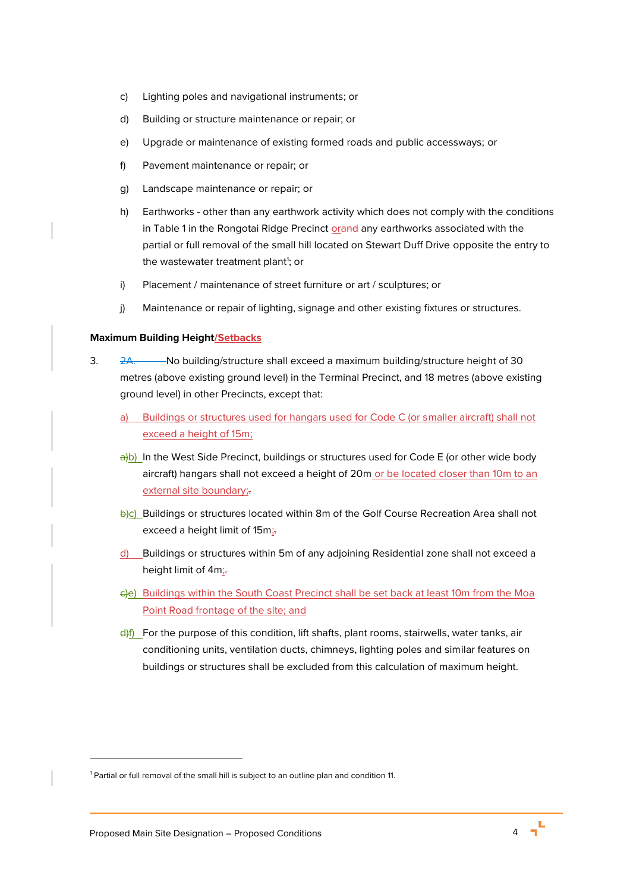- c) Lighting poles and navigational instruments; or
- d) Building or structure maintenance or repair; or
- e) Upgrade or maintenance of existing formed roads and public accessways; or
- f) Pavement maintenance or repair; or
- g) Landscape maintenance or repair; or
- h) Earthworks other than any earthwork activity which does not comply with the conditions in Table 1 in the Rongotai Ridge Precinct orand any earthworks associated with the partial or full removal of the small hill located on Stewart Duff Drive opposite the entry to the wastewater treatment plant<sup>1</sup>; or
- i) Placement / maintenance of street furniture or art / sculptures; or
- j) Maintenance or repair of lighting, signage and other existing fixtures or structures.

#### **Maximum Building Height/Setbacks**

- 3. 2A. No building/structure shall exceed a maximum building/structure height of 30 metres (above existing ground level) in the Terminal Precinct, and 18 metres (above existing ground level) in other Precincts, except that:
	- a) Buildings or structures used for hangars used for Code C (or smaller aircraft) shall not exceed a height of 15m;
	- $\frac{a}{b}$ ) In the West Side Precinct, buildings or structures used for Code E (or other wide body aircraft) hangars shall not exceed a height of 20m or be located closer than 10m to an external site boundary;-
	- b)c) Buildings or structures located within 8m of the Golf Course Recreation Area shall not exceed a height limit of 15m;
	- d) Buildings or structures within 5m of any adjoining Residential zone shall not exceed a height limit of 4m;
	- c)e) Buildings within the South Coast Precinct shall be set back at least 10m from the Moa Point Road frontage of the site; and
	- $\frac{d}{dt}$  For the purpose of this condition, lift shafts, plant rooms, stairwells, water tanks, air conditioning units, ventilation ducts, chimneys, lighting poles and similar features on buildings or structures shall be excluded from this calculation of maximum height.

<sup>&</sup>lt;sup>1</sup> Partial or full removal of the small hill is subject to an outline plan and conditio[n 11.](#page-7-0)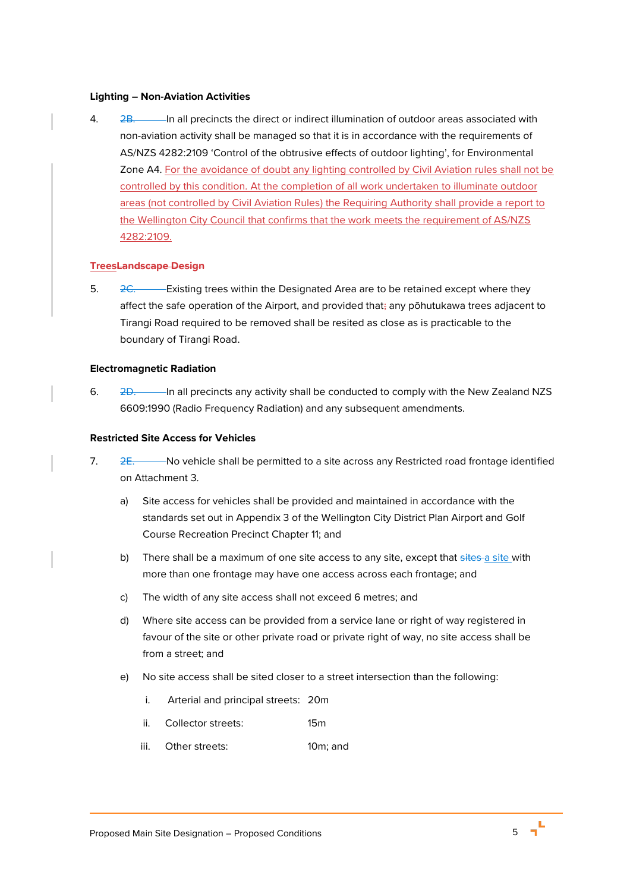#### **Lighting – Non-Aviation Activities**

4. 2B. In all precincts the direct or indirect illumination of outdoor areas associated with non-aviation activity shall be managed so that it is in accordance with the requirements of AS/NZS 4282:2109 'Control of the obtrusive effects of outdoor lighting', for Environmental Zone A4. For the avoidance of doubt any lighting controlled by Civil Aviation rules shall not be controlled by this condition. At the completion of all work undertaken to illuminate outdoor areas (not controlled by Civil Aviation Rules) the Requiring Authority shall provide a report to the Wellington City Council that confirms that the work meets the requirement of AS/NZS 4282:2109.

#### **TreesLandscape Design**

5.  $2C$ . Existing trees within the Designated Area are to be retained except where they affect the safe operation of the Airport, and provided that; any pōhutukawa trees adjacent to Tirangi Road required to be removed shall be resited as close as is practicable to the boundary of Tirangi Road.

### **Electromagnetic Radiation**

6. 2D. In all precincts any activity shall be conducted to comply with the New Zealand NZS 6609:1990 (Radio Frequency Radiation) and any subsequent amendments.

### **Restricted Site Access for Vehicles**

- 7. 2E. No vehicle shall be permitted to a site across any Restricted road frontage identified on Attachment 3.
	- a) Site access for vehicles shall be provided and maintained in accordance with the standards set out in Appendix 3 of the Wellington City District Plan Airport and Golf Course Recreation Precinct Chapter 11; and
	- b) There shall be a maximum of one site access to any site, except that sites a site with more than one frontage may have one access across each frontage; and
	- c) The width of any site access shall not exceed 6 metres; and
	- d) Where site access can be provided from a service lane or right of way registered in favour of the site or other private road or private right of way, no site access shall be from a street; and
	- e) No site access shall be sited closer to a street intersection than the following:
		- i. Arterial and principal streets: 20m
		- ii. Collector streets: 15m
		- iii. Other streets: 10m; and

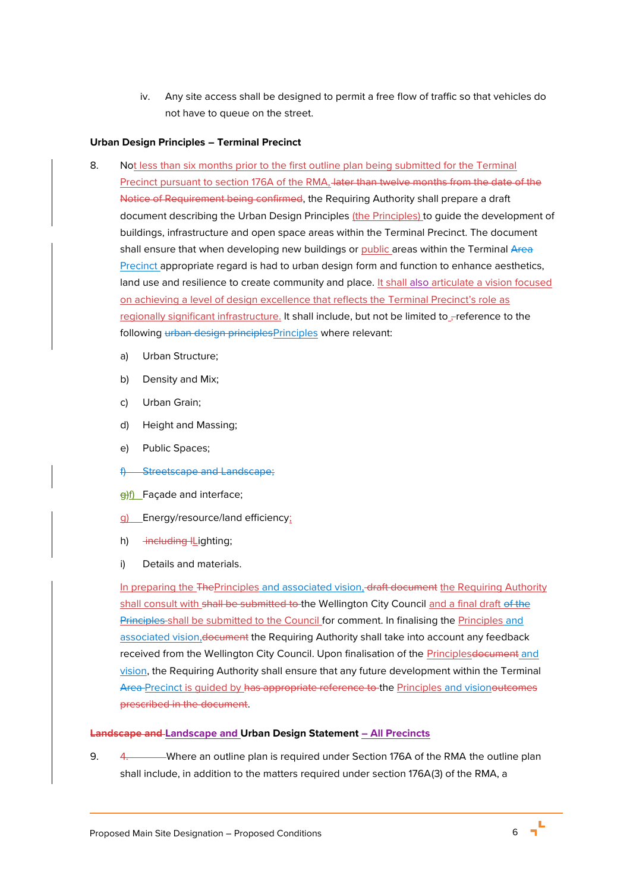iv. Any site access shall be designed to permit a free flow of traffic so that vehicles do not have to queue on the street.

# **Urban Design Principles – Terminal Precinct**

- <span id="page-5-0"></span>8. Not less than six months prior to the first outline plan being submitted for the Terminal Precinct pursuant to section 176A of the RMA, later than twelve months from the date of the Notice of Requirement being confirmed, the Requiring Authority shall prepare a draft document describing the Urban Design Principles (the Principles) to guide the development of buildings, infrastructure and open space areas within the Terminal Precinct. The document shall ensure that when developing new buildings or public areas within the Terminal Area Precinct appropriate regard is had to urban design form and function to enhance aesthetics, land use and resilience to create community and place. It shall also articulate a vision focused on achieving a level of design excellence that reflects the Terminal Precinct's role as regionally significant infrastructure. It shall include, but not be limited to reference to the following urban design principlesPrinciples where relevant:
	- a) Urban Structure;
	- b) Density and Mix;
	- c) Urban Grain;
	- d) Height and Massing;
	- e) Public Spaces;
	- f) Streetscape and Landscape;
	- $\theta$ f) Façade and interface;
	- g) Energy/resource/land efficiency;
	- h) <del>including I</del>Lighting;
	- i) Details and materials.

In preparing the ThePrinciples and associated vision, draft document the Requiring Authority shall consult with shall be submitted to the Wellington City Council and a final draft of the Principles shall be submitted to the Council for comment. In finalising the Principles and associated vision,document the Requiring Authority shall take into account any feedback received from the Wellington City Council. Upon finalisation of the Principles document and vision, the Requiring Authority shall ensure that any future development within the Terminal Area Precinct is guided by has appropriate reference to the Principles and visionoutcomes prescribed in the document.

### **Landscape and Landscape and Urban Design Statement – All Precincts**

<span id="page-5-1"></span>9. 4. Where an outline plan is required under Section 176A of the RMA the outline plan shall include, in addition to the matters required under section 176A(3) of the RMA, a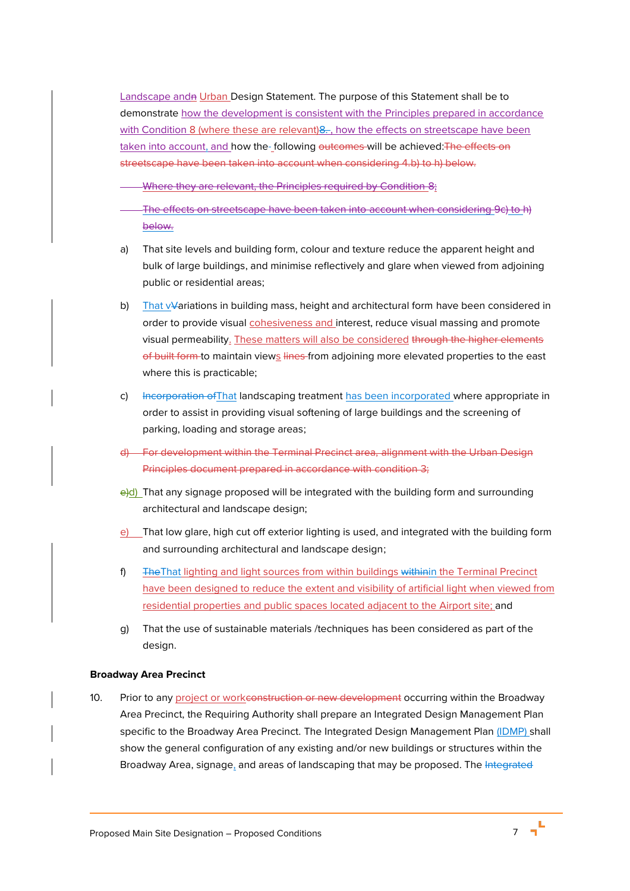Landscape andn Urban Design Statement. The purpose of this Statement shall be to demonstrate how the development is consistent with the Principles prepared in accordance with Condition [8](#page-5-0) (where these are relevant) 8. , how the effects on streetscape have been taken into account, and how the following outcomes will be achieved: The effects on streetscape have been taken into account when considering 4.b) to h) below.

Where they are relevant, the Principles required by Condition [8;](#page-5-0)

- The effects on streetscape have been taken into account when considering [9](#page-5-1)[c\)](#page-6-0) to [h\)](#page-6-1) below.
- <span id="page-6-0"></span>a) That site levels and building form, colour and texture reduce the apparent height and bulk of large buildings, and minimise reflectively and glare when viewed from adjoining public or residential areas;
- b) That vVariations in building mass, height and architectural form have been considered in order to provide visual cohesiveness and interest, reduce visual massing and promote visual permeability. These matters will also be considered through the higher elements of built form to maintain views lines from adjoining more elevated properties to the east where this is practicable;
- c) Incorporation of That landscaping treatment has been incorporated where appropriate in order to assist in providing visual softening of large buildings and the screening of parking, loading and storage areas;
- d) For development within the Terminal Precinct area, alignment with the Urban Design Principles document prepared in accordance with condition 3;
- e)d) That any signage proposed will be integrated with the building form and surrounding architectural and landscape design;
- e) That low glare, high cut off exterior lighting is used, and integrated with the building form and surrounding architectural and landscape design;
- <span id="page-6-1"></span>f) TheThat lighting and light sources from within buildings withinin the Terminal Precinct have been designed to reduce the extent and visibility of artificial light when viewed from residential properties and public spaces located adjacent to the Airport site; and
- g) That the use of sustainable materials /techniques has been considered as part of the design.

#### **Broadway Area Precinct**

10. Prior to any project or workconstruction or new development occurring within the Broadway Area Precinct, the Requiring Authority shall prepare an Integrated Design Management Plan specific to the Broadway Area Precinct. The Integrated Design Management Plan (IDMP) shall show the general configuration of any existing and/or new buildings or structures within the Broadway Area, signage, and areas of landscaping that may be proposed. The Integrated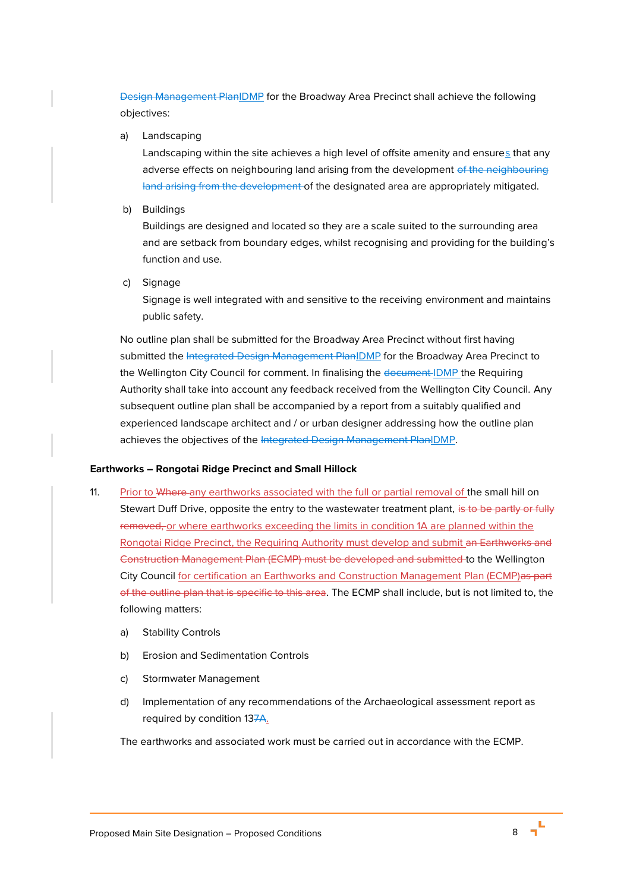Design Management PlanIDMP for the Broadway Area Precinct shall achieve the following objectives:

a) Landscaping

Landscaping within the site achieves a high level of offsite amenity and ensures that any adverse effects on neighbouring land arising from the development of the neighbouring land arising from the development of the designated area are appropriately mitigated.

b) Buildings

Buildings are designed and located so they are a scale suited to the surrounding area and are setback from boundary edges, whilst recognising and providing for the building's function and use.

c) Signage

Signage is well integrated with and sensitive to the receiving environment and maintains public safety.

No outline plan shall be submitted for the Broadway Area Precinct without first having submitted the Integrated Design Management PlanIDMP for the Broadway Area Precinct to the Wellington City Council for comment. In finalising the document-IDMP the Requiring Authority shall take into account any feedback received from the Wellington City Council. Any subsequent outline plan shall be accompanied by a report from a suitably qualified and experienced landscape architect and / or urban designer addressing how the outline plan achieves the objectives of the Integrated Design Management PlanIDMP.

# **Earthworks – Rongotai Ridge Precinct and Small Hillock**

- <span id="page-7-0"></span>11. Prior to Where any earthworks associated with the full or partial removal of the small hill on Stewart Duff Drive, opposite the entry to the wastewater treatment plant, is to be partly or fully removed, or where earthworks exceeding the limits in condition 1A are planned within the Rongotai Ridge Precinct, the Requiring Authority must develop and submit an Earthworks and Construction Management Plan (ECMP) must be developed and submitted to the Wellington City Council for certification an Earthworks and Construction Management Plan (ECMP)as part of the outline plan that is specific to this area. The ECMP shall include, but is not limited to, the following matters:
	- a) Stability Controls
	- b) Erosion and Sedimentation Controls
	- c) Stormwater Management
	- d) Implementation of any recommendations of the Archaeological assessment report as required by condition [137](#page-8-0)A.

The earthworks and associated work must be carried out in accordance with the ECMP.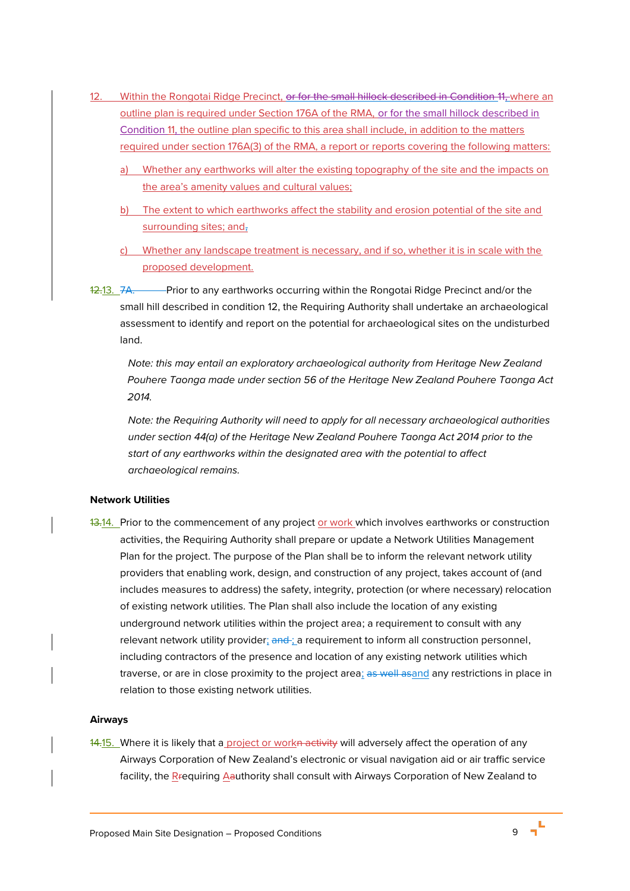- <span id="page-8-1"></span>12. Within the Rongotai Ridge Precinct, or for the small hillock described in Condition [11,](#page-7-0) where an outline plan is required under Section 176A of the RMA, or for the small hillock described in Condition [11,](#page-7-0) the outline plan specific to this area shall include, in addition to the matters required under section 176A(3) of the RMA, a report or reports covering the following matters:
	- a) Whether any earthworks will alter the existing topography of the site and the impacts on the area's amenity values and cultural values;
	- b) The extent to which earthworks affect the stability and erosion potential of the site and surrounding sites; and,
	- c) Whether any landscape treatment is necessary, and if so, whether it is in scale with the proposed development.
- <span id="page-8-0"></span>12.13. 7A. Prior to any earthworks occurring within the Rongotai Ridge Precinct and/or the small hill described in condition [12,](#page-8-1) the Requiring Authority shall undertake an archaeological assessment to identify and report on the potential for archaeological sites on the undisturbed land.

*Note: this may entail an exploratory archaeological authority from Heritage New Zealand Pouhere Taonga made under section 56 of the Heritage New Zealand Pouhere Taonga Act 2014.*

*Note: the Requiring Authority will need to apply for all necessary archaeological authorities under section 44(a) of the Heritage New Zealand Pouhere Taonga Act 2014 prior to the start of any earthworks within the designated area with the potential to affect archaeological remains.*

# **Network Utilities**

13.14. Prior to the commencement of any project or work which involves earthworks or construction activities, the Requiring Authority shall prepare or update a Network Utilities Management Plan for the project. The purpose of the Plan shall be to inform the relevant network utility providers that enabling work, design, and construction of any project, takes account of (and includes measures to address) the safety, integrity, protection (or where necessary) relocation of existing network utilities. The Plan shall also include the location of any existing underground network utilities within the project area; a requirement to consult with any relevant network utility provider; and ; a requirement to inform all construction personnel, including contractors of the presence and location of any existing network utilities which traverse, or are in close proximity to the project area; as well asand any restrictions in place in relation to those existing network utilities.

#### **Airways**

14.15. Where it is likely that a project or workn activity will adversely affect the operation of any Airways Corporation of New Zealand's electronic or visual navigation aid or air traffic service facility, the Rrequiring Aauthority shall consult with Airways Corporation of New Zealand to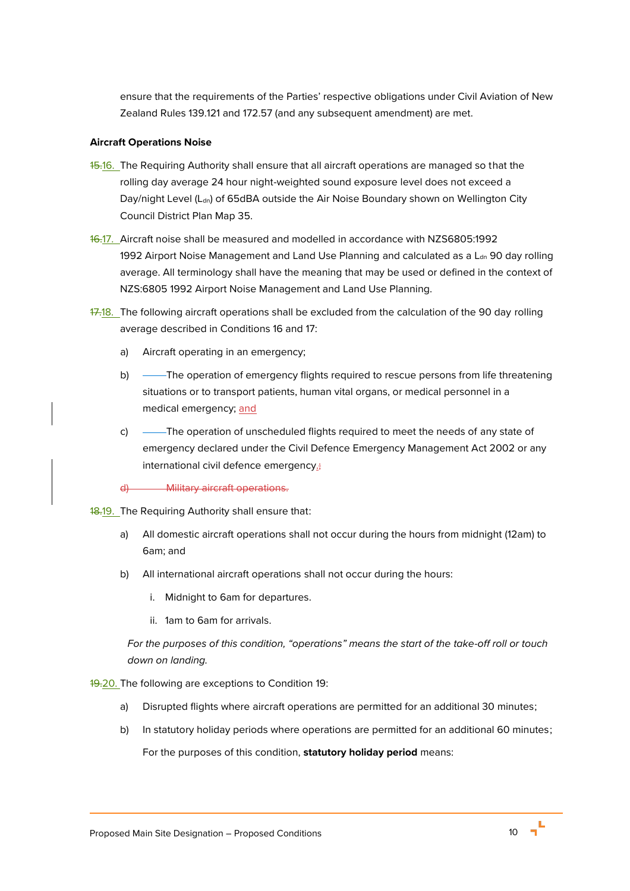ensure that the requirements of the Parties' respective obligations under Civil Aviation of New Zealand Rules 139.121 and 172.57 (and any subsequent amendment) are met.

# **Aircraft Operations Noise**

- <span id="page-9-0"></span>15.16. The Requiring Authority shall ensure that all aircraft operations are managed so that the rolling day average 24 hour night-weighted sound exposure level does not exceed a Day/night Level (L<sub>dn</sub>) of 65dBA outside the Air Noise Boundary shown on Wellington City Council District Plan Map 35.
- <span id="page-9-1"></span>16.17. Aircraft noise shall be measured and modelled in accordance with NZS6805:1992 1992 Airport Noise Management and Land Use Planning and calculated as a L<sub>dn</sub> 90 day rolling average. All terminology shall have the meaning that may be used or defined in the context of NZS:6805 1992 Airport Noise Management and Land Use Planning.
- 17.18. The following aircraft operations shall be excluded from the calculation of the 90 day rolling average described in Conditions [16](#page-9-0) and [17:](#page-9-1)
	- a) Aircraft operating in an emergency;
	- b) ——The operation of emergency flights required to rescue persons from life threatening situations or to transport patients, human vital organs, or medical personnel in a medical emergency; and
	- c) ——The operation of unscheduled flights required to meet the needs of any state of emergency declared under the Civil Defence Emergency Management Act 2002 or any international civil defence emergency.
	- d) Military aircraft operations.
- <span id="page-9-2"></span>18.19. The Requiring Authority shall ensure that:
	- a) All domestic aircraft operations shall not occur during the hours from midnight (12am) to 6am; and
	- b) All international aircraft operations shall not occur during the hours:
		- i. Midnight to 6am for departures.
		- ii. 1am to 6am for arrivals.

*For the purposes of this condition, "operations" means the start of the take-off roll or touch down on landing.* 

19.20. The following are exceptions to Condition [19:](#page-9-2)

- a) Disrupted flights where aircraft operations are permitted for an additional 30 minutes;
- b) In statutory holiday periods where operations are permitted for an additional 60 minutes; For the purposes of this condition, **statutory holiday period** means: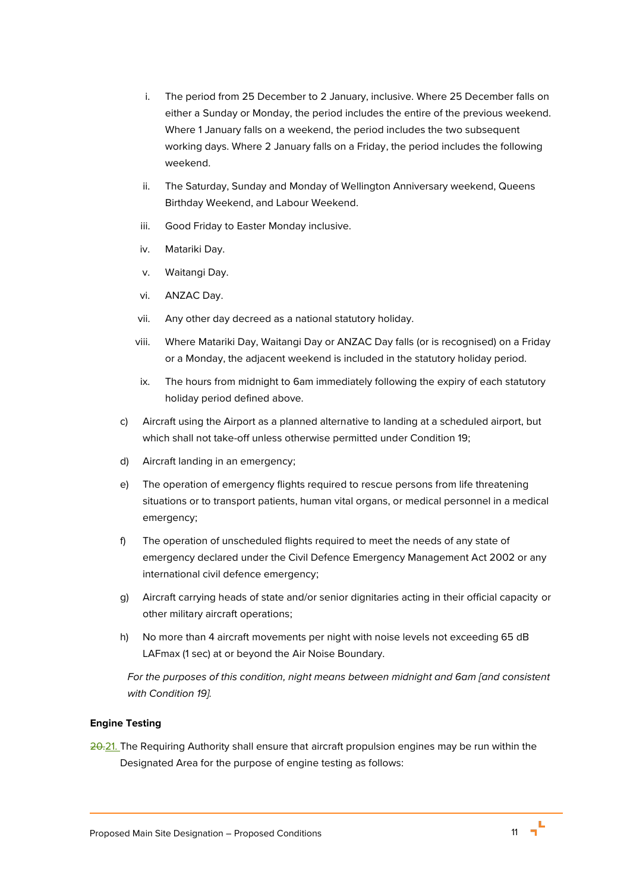- i. The period from 25 December to 2 January, inclusive. Where 25 December falls on either a Sunday or Monday, the period includes the entire of the previous weekend. Where 1 January falls on a weekend, the period includes the two subsequent working days. Where 2 January falls on a Friday, the period includes the following weekend.
- ii. The Saturday, Sunday and Monday of Wellington Anniversary weekend, Queens Birthday Weekend, and Labour Weekend.
- iii. Good Friday to Easter Monday inclusive.
- iv. Matariki Day.
- v. Waitangi Day.
- vi. ANZAC Day.
- vii. Any other day decreed as a national statutory holiday.
- viii. Where Matariki Day, Waitangi Day or ANZAC Day falls (or is recognised) on a Friday or a Monday, the adjacent weekend is included in the statutory holiday period.
- ix. The hours from midnight to 6am immediately following the expiry of each statutory holiday period defined above.
- c) Aircraft using the Airport as a planned alternative to landing at a scheduled airport, but which shall not take-off unless otherwise permitted under Condition [19;](#page-9-2)
- d) Aircraft landing in an emergency;
- e) The operation of emergency flights required to rescue persons from life threatening situations or to transport patients, human vital organs, or medical personnel in a medical emergency;
- f) The operation of unscheduled flights required to meet the needs of any state of emergency declared under the Civil Defence Emergency Management Act 2002 or any international civil defence emergency;
- g) Aircraft carrying heads of state and/or senior dignitaries acting in their official capacity or other military aircraft operations;
- h) No more than 4 aircraft movements per night with noise levels not exceeding 65 dB LAFmax (1 sec) at or beyond the Air Noise Boundary.

*For the purposes of this condition, night means between midnight and 6am [and consistent with Condition [19\].](#page-9-2)*

# **Engine Testing**

<span id="page-10-0"></span>20.21. The Requiring Authority shall ensure that aircraft propulsion engines may be run within the Designated Area for the purpose of engine testing as follows: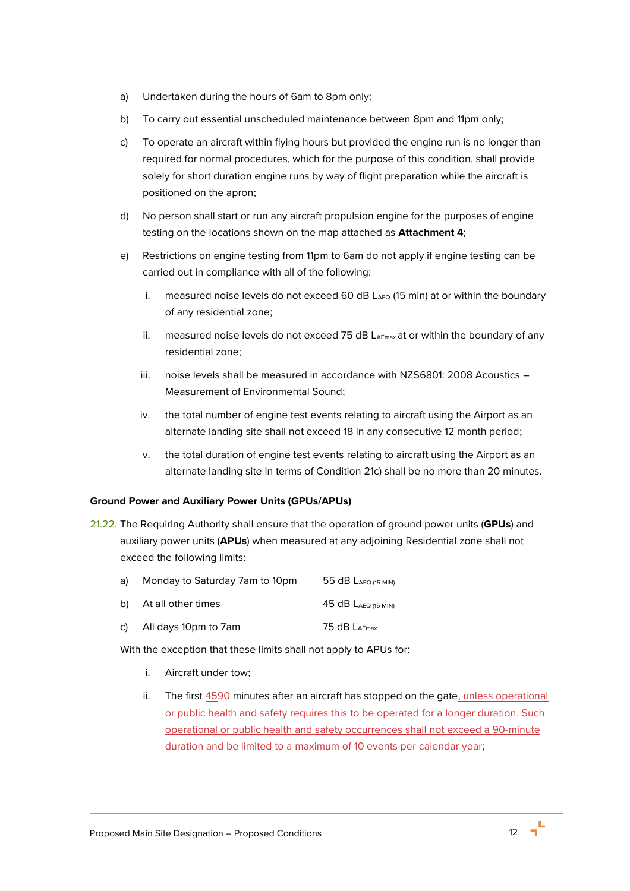- a) Undertaken during the hours of 6am to 8pm only;
- b) To carry out essential unscheduled maintenance between 8pm and 11pm only;
- <span id="page-11-0"></span>c) To operate an aircraft within flying hours but provided the engine run is no longer than required for normal procedures, which for the purpose of this condition, shall provide solely for short duration engine runs by way of flight preparation while the aircraft is positioned on the apron;
- d) No person shall start or run any aircraft propulsion engine for the purposes of engine testing on the locations shown on the map attached as **Attachment 4**;
- e) Restrictions on engine testing from 11pm to 6am do not apply if engine testing can be carried out in compliance with all of the following:
	- i. measured noise levels do not exceed 60 dB  $L_{AEO}$  (15 min) at or within the boundary of any residential zone;
	- ii. measured noise levels do not exceed 75 dB  $L_{AFmax}$  at or within the boundary of any residential zone;
	- iii. noise levels shall be measured in accordance with NZS6801: 2008 Acoustics Measurement of Environmental Sound;
	- iv. the total number of engine test events relating to aircraft using the Airport as an alternate landing site shall not exceed 18 in any consecutive 12 month period;
	- v. the total duration of engine test events relating to aircraft using the Airport as an alternate landing site in terms of Condition [21](#page-10-0)[c\)](#page-11-0) shall be no more than 20 minutes.

#### **Ground Power and Auxiliary Power Units (GPUs/APUs)**

21.22. The Requiring Authority shall ensure that the operation of ground power units (**GPUs**) and auxiliary power units (**APUs**) when measured at any adjoining Residential zone shall not exceed the following limits:

- a) Monday to Saturday 7am to 10pm 55 dB LAEQ (15 MIN)
- b) At all other times 45 dB LAEQ (15 MIN)
- c) All days 10pm to 7am  $75 dB$  LAFmax

With the exception that these limits shall not apply to APUs for:

- i. Aircraft under tow;
- ii. The first  $4590$  minutes after an aircraft has stopped on the gate, unless operational or public health and safety requires this to be operated for a longer duration. Such operational or public health and safety occurrences shall not exceed a 90-minute duration and be limited to a maximum of 10 events per calendar year;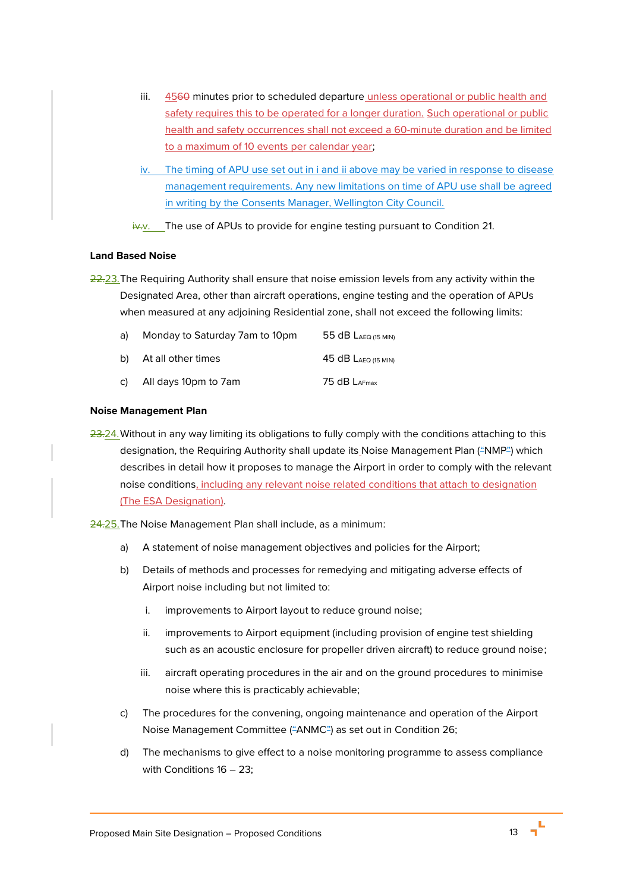- iii.  $4560$  minutes prior to scheduled departure unless operational or public health and safety requires this to be operated for a longer duration. Such operational or public health and safety occurrences shall not exceed a 60-minute duration and be limited to a maximum of 10 events per calendar year;
- iv. The timing of APU use set out in i and ii above may be varied in response to disease management requirements. Any new limitations on time of APU use shall be agreed in writing by the Consents Manager, Wellington City Council.

 $iv-v$ . The use of APUs to provide for engine testing pursuant to Condition [21.](#page-10-0)

### **Land Based Noise**

<span id="page-12-0"></span>22.23. The Requiring Authority shall ensure that noise emission levels from any activity within the Designated Area, other than aircraft operations, engine testing and the operation of APUs when measured at any adjoining Residential zone, shall not exceed the following limits:

| a) - | Monday to Saturday 7am to 10pm | 55 $dB$ Laeq (15 MIN)      |
|------|--------------------------------|----------------------------|
|      | b) At all other times          | $45$ dB $L_{AEQ}$ (15 MIN) |
|      | c) All days 10pm to 7am        | 75 dB $L_{\text{AFmax}}$   |

### **Noise Management Plan**

23.24. Without in any way limiting its obligations to fully comply with the conditions attaching to this designation, the Requiring Authority shall update its Noise Management Plan ("NMP") which describes in detail how it proposes to manage the Airport in order to comply with the relevant noise conditions, including any relevant noise related conditions that attach to designation (The ESA Designation).

<span id="page-12-1"></span>24.25. The Noise Management Plan shall include, as a minimum:

- a) A statement of noise management objectives and policies for the Airport;
- b) Details of methods and processes for remedying and mitigating adverse effects of Airport noise including but not limited to:
	- i. improvements to Airport layout to reduce ground noise;
	- ii. improvements to Airport equipment (including provision of engine test shielding such as an acoustic enclosure for propeller driven aircraft) to reduce ground noise;
	- iii. aircraft operating procedures in the air and on the ground procedures to minimise noise where this is practicably achievable;
- <span id="page-12-2"></span>c) The procedures for the convening, ongoing maintenance and operation of the Airport Noise Management Committee ("ANMC") as set out in Conditio[n 26;](#page-13-0)
- d) The mechanisms to give effect to a noise monitoring programme to assess compliance with Conditions [16](#page-9-0) – [23;](#page-12-0)